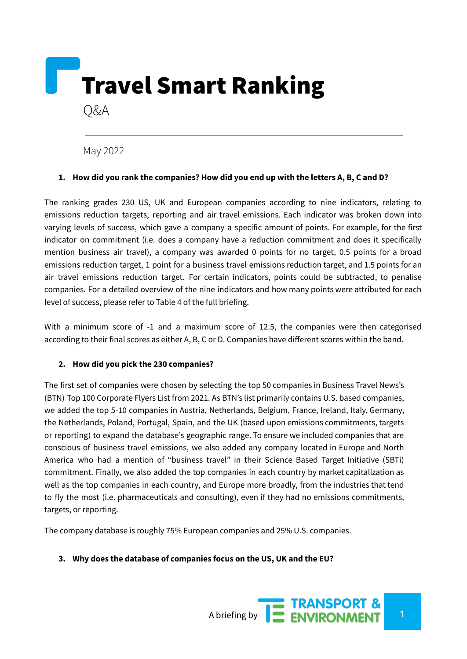

May 2022

#### 1. How did you rank the companies? How did you end up with the letters A, B, C and D?

The ranking grades 230 US, UK and European companies according to nine indicators, relating to emissions reduction targets, reporting and air travel emissions. Each indicator was broken down into varying levels of success, which gave a company a specific amount of points. For example, for the first indicator on commitment (i.e. does a company have a reduction commitment and does it specifically mention business air travel), a company was awarded 0 points for no target, 0.5 points for a broad emissions reduction target, 1 point for a business travel emissions reduction target, and 1.5 points for an air travel emissions reduction target. For certain indicators, points could be subtracted, to penalise companies. For a detailed overview of the nine indicators and how many points were attributed for each level of success, please refer to [Table](https://docs.google.com/document/d/11ZIiJi-hraD9c-U8oSV2xUk5Z1DFu4ayIVJjql99ArU/edit#D2L_table_ref_Ranking%20criteria%20and%20scores) 4 of the full briefing.

With a minimum score of -1 and a maximum score of 12.5, the companies were then categorised according to their final scores as either A, B, C or D. Companies have different scores within the band.

### **2. How did you pick the 230 companies?**

The first set of companies were chosen by selecting the top 50 companies in Business Travel News's (BTN) Top 100 Corporate Flyers List from 2021. As BTN's list primarily contains U.S. based companies, we added the top 5-10 companies in Austria, Netherlands, Belgium, France, Ireland, Italy, Germany, the Netherlands, Poland, Portugal, Spain, and the UK (based upon emissions commitments, targets or reporting) to expand the database's geographic range. To ensure we included companies that are conscious of business travel emissions, we also added any company located in Europe and North America who had a mention of "business travel" in their Science Based Target Initiative (SBTi) commitment. Finally, we also added the top companies in each country by market capitalization as well as the top companies in each country, and Europe more broadly, from the industries that tend to fly the most (i.e. pharmaceuticals and consulting), even if they had no emissions commitments, targets, or reporting.

The company database is roughly 75% European companies and 25% U.S. companies.

### **3. Why does the database of companies focus on the US, UK and the EU?**

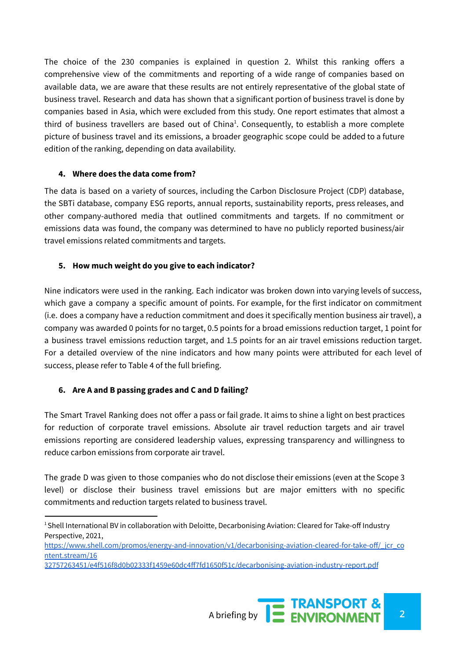The choice of the 230 companies is explained in question 2. Whilst this ranking offers a comprehensive view of the commitments and reporting of a wide range of companies based on available data, we are aware that these results are not entirely representative of the global state of business travel. Research and data has shown that a significant portion of business travel is done by companies based in Asia, which were excluded from this study. One report estimates that almost a third of business travellers are based out of China<sup>1</sup>. Consequently, to establish a more complete picture of business travel and its emissions, a broader geographic scope could be added to a future edition of the ranking, depending on data availability.

### **4. Where does the data come from?**

The data is based on a variety of sources, including the Carbon Disclosure Project (CDP) database, the SBTi database, company ESG reports, annual reports, sustainability reports, press releases, and other company-authored media that outlined commitments and targets. If no commitment or emissions data was found, the company was determined to have no publicly reported business/air travel emissions related commitments and targets.

### **5. How much weight do you give to each indicator?**

Nine indicators were used in the ranking. Each indicator was broken down into varying levels of success, which gave a company a specific amount of points. For example, for the first indicator on commitment (i.e. does a company have a reduction commitment and does it specifically mention business air travel), a company was awarded 0 points for no target, 0.5 points for a broad emissions reduction target, 1 point for a business travel emissions reduction target, and 1.5 points for an air travel emissions reduction target. For a detailed overview of the nine indicators and how many points were attributed for each level of success, please refer to Table 4 of the full briefing.

### **6. Are A and B passing grades and C and D failing?**

The Smart Travel Ranking does not offer a pass or fail grade. It aims to shine a light on best practices for reduction of corporate travel emissions. Absolute air travel reduction targets and air travel emissions reporting are considered leadership values, expressing transparency and willingness to reduce carbon emissions from corporate air travel.

The grade D was given to those companies who do not disclose their emissions (even at the Scope 3 level) or disclose their business travel emissions but are major emitters with no specific commitments and reduction targets related to business travel.

<sup>&</sup>lt;sup>1</sup> Shell International BV in collaboration with Deloitte, Decarbonising Aviation: Cleared for Take-off Industry Perspective, 2021,

[https://www.shell.com/promos/energy-and-innovation/v1/decarbonising-aviation-cleared-for-take-off/\\_jcr\\_co](https://www.shell.com/promos/energy-and-innovation/v1/decarbonising-aviation-cleared-for-take-off/_jcr_content.stream/16) [ntent.stream/16](https://www.shell.com/promos/energy-and-innovation/v1/decarbonising-aviation-cleared-for-take-off/_jcr_content.stream/16)

[<sup>32757263451/</sup>e4f516f8d0b02333f1459e60dc4ff7fd1650f51c/decarbonising-aviation-industry-report.pdf](https://www.shell.com/promos/energy-and-innovation/v1/decarbonising-aviation-cleared-for-take-off/_jcr_content.stream/16)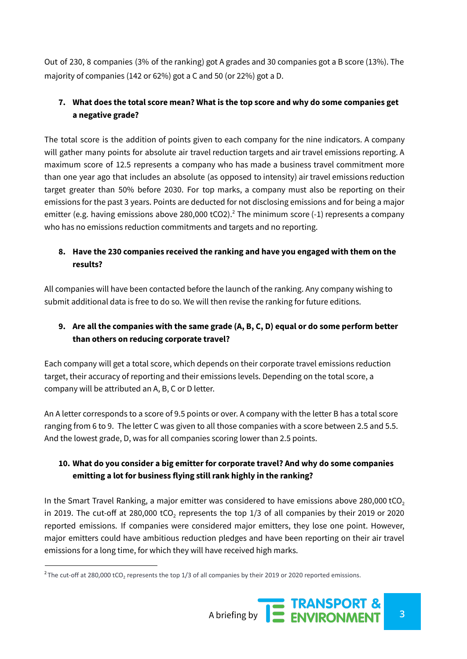Out of 230, 8 companies (3% of the ranking) got A grades and 30 companies got a B score (13%). The majority of companies (142 or 62%) got a C and 50 (or 22%) got a D.

# **7. What does the total score mean? What is the top score and why do some companies get a negative grade?**

The total score is the addition of points given to each company for the nine indicators. A company will gather many points for absolute air travel reduction targets and air travel emissions reporting. A maximum score of 12.5 represents a company who has made a business travel commitment more than one year ago that includes an absolute (as opposed to intensity) air travel emissions reduction target greater than 50% before 2030. For top marks, a company must also be reporting on their emissions for the past 3 years. Points are deducted for not disclosing emissions and for being a major emitter (e.g. having emissions above 280,000 tCO2).<sup>2</sup> The minimum score (-1) represents a company who has no emissions reduction commitments and targets and no reporting.

## **8. Have the 230 companies received the ranking and have you engaged with them on the results?**

All companies will have been contacted before the launch of the ranking. Any company wishing to submit additional data is free to do so. We will then revise the ranking for future editions.

# **9. Are all the companies with the same grade (A, B, C, D) equal or do some perform better than others on reducing corporate travel?**

Each company will get a total score, which depends on their corporate travel emissions reduction target, their accuracy of reporting and their emissions levels. Depending on the total score, a company will be attributed an A, B, C or D letter.

An A letter corresponds to a score of 9.5 points or over. A company with the letter B has a total score ranging from 6 to 9. The letter C was given to all those companies with a score between 2.5 and 5.5. And the lowest grade, D, was for all companies scoring lower than 2.5 points.

# **10. What do you consider a big emitter for corporate travel? And why do some companies emitting a lot for business flying still rank highly in the ranking?**

In the Smart Travel Ranking, a major emitter was considered to have emissions above 280,000 tCO<sub>2</sub> in 2019. The cut-off at 280,000 tCO<sub>2</sub> represents the top  $1/3$  of all companies by their 2019 or 2020 reported emissions. If companies were considered major emitters, they lose one point. However, major emitters could have ambitious reduction pledges and have been reporting on their air travel emissions for a long time, for which they will have received high marks.

 $2$ The cut-off at 280,000 tCO<sub>2</sub> represents the top 1/3 of all companies by their 2019 or 2020 reported emissions.